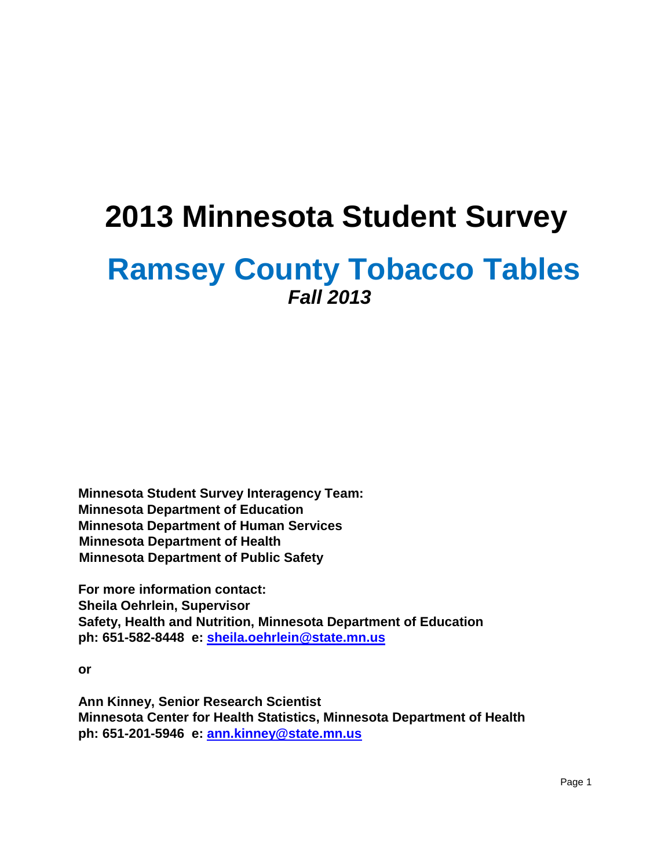# **2013 Minnesota Student Survey**

## **Ramsey County Tobacco Tables** *Fall 2013*

**Minnesota Student Survey Interagency Team: Minnesota Department of Education Minnesota Department of Human Services Minnesota Department of Health Minnesota Department of Public Safety** 

**For more information contact: Sheila Oehrlein, Supervisor Safety, Health and Nutrition, Minnesota Department of Education ph: 651-582-8448 e: sheila.oehrlein@state.mn.us**

**or** 

**Ann Kinney, Senior Research Scientist Minnesota Center for Health Statistics, Minnesota Department of Health ph: 651-201-5946 e: ann.kinney@state.mn.us**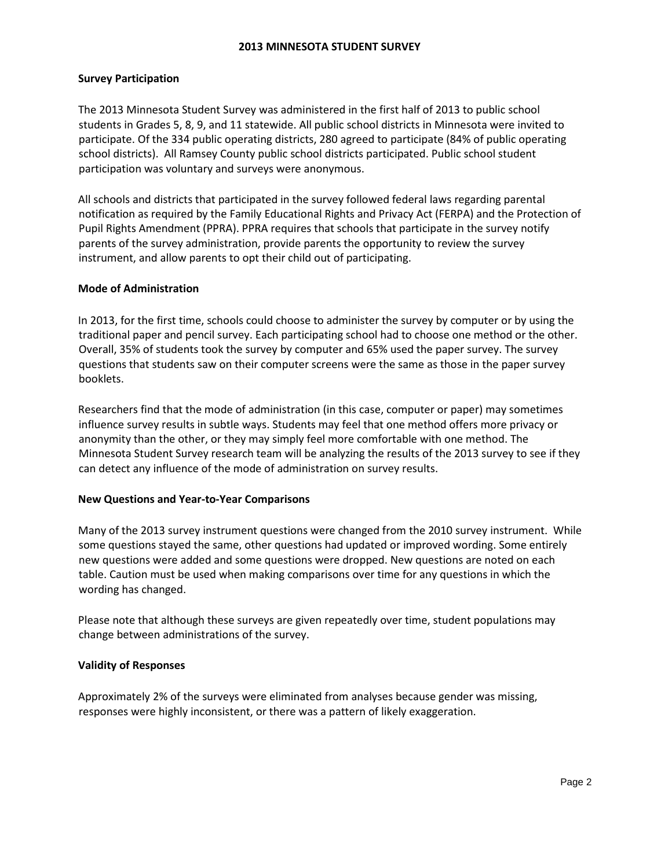## **2013 MINNESOTA STUDENT SURVEY**

## **Survey Participation**

The 2013 Minnesota Student Survey was administered in the first half of 2013 to public school students in Grades 5, 8, 9, and 11 statewide. All public school districts in Minnesota were invited to participate. Of the 334 public operating districts, 280 agreed to participate (84% of public operating school districts). All Ramsey County public school districts participated. Public school student participation was voluntary and surveys were anonymous.

All schools and districts that participated in the survey followed federal laws regarding parental notification as required by the Family Educational Rights and Privacy Act (FERPA) and the Protection of Pupil Rights Amendment (PPRA). PPRA requires that schools that participate in the survey notify parents of the survey administration, provide parents the opportunity to review the survey instrument, and allow parents to opt their child out of participating.

## **Mode of Administration**

In 2013, for the first time, schools could choose to administer the survey by computer or by using the traditional paper and pencil survey. Each participating school had to choose one method or the other. Overall, 35% of students took the survey by computer and 65% used the paper survey. The survey questions that students saw on their computer screens were the same as those in the paper survey booklets.

Researchers find that the mode of administration (in this case, computer or paper) may sometimes influence survey results in subtle ways. Students may feel that one method offers more privacy or anonymity than the other, or they may simply feel more comfortable with one method. The Minnesota Student Survey research team will be analyzing the results of the 2013 survey to see if they can detect any influence of the mode of administration on survey results.

## **New Questions and Year-to-Year Comparisons**

Many of the 2013 survey instrument questions were changed from the 2010 survey instrument. While some questions stayed the same, other questions had updated or improved wording. Some entirely new questions were added and some questions were dropped. New questions are noted on each table. Caution must be used when making comparisons over time for any questions in which the wording has changed.

Please note that although these surveys are given repeatedly over time, student populations may change between administrations of the survey.

## **Validity of Responses**

Approximately 2% of the surveys were eliminated from analyses because gender was missing, responses were highly inconsistent, or there was a pattern of likely exaggeration.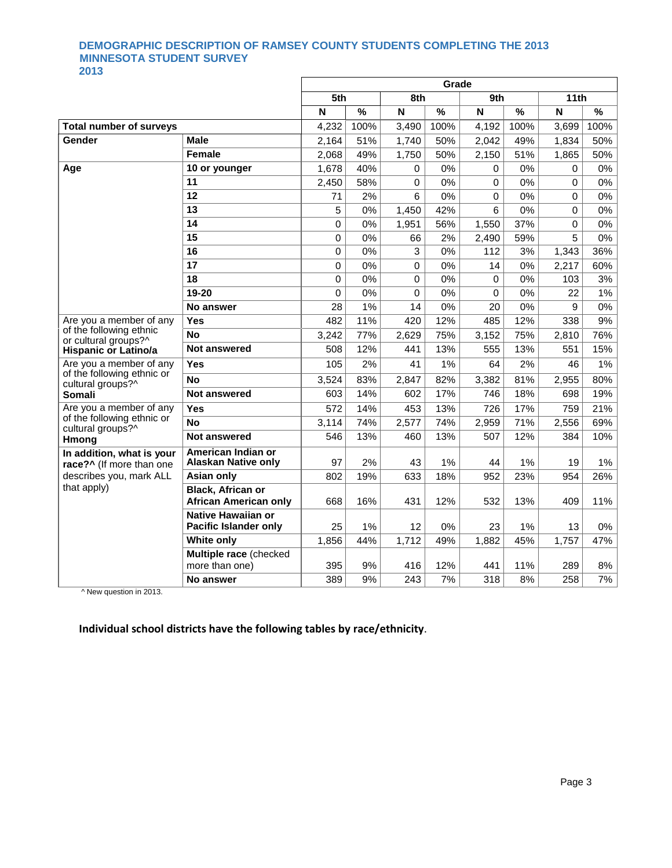## **DEMOGRAPHIC DESCRIPTION OF RAMSEY COUNTY STUDENTS COMPLETING THE 2013 MINNESOTA STUDENT SURVEY 2013**

|                                                       |                                                    |       |               |          | Grade |          |       |       |       |
|-------------------------------------------------------|----------------------------------------------------|-------|---------------|----------|-------|----------|-------|-------|-------|
|                                                       |                                                    | 5th   |               | 8th      |       | 9th      |       | 11th  |       |
|                                                       |                                                    | N     | $\frac{9}{6}$ | N        | %     | N        | $\%$  | N     | %     |
| <b>Total number of surveys</b>                        |                                                    | 4,232 | 100%          | 3,490    | 100%  | 4,192    | 100%  | 3,699 | 100%  |
| Gender                                                | <b>Male</b>                                        | 2,164 | 51%           | 1,740    | 50%   | 2,042    | 49%   | 1,834 | 50%   |
|                                                       | <b>Female</b>                                      | 2.068 | 49%           | 1,750    | 50%   | 2,150    | 51%   | 1,865 | 50%   |
| Age                                                   | 10 or younger                                      | 1,678 | 40%           | 0        | 0%    | 0        | 0%    | 0     | 0%    |
|                                                       | 11                                                 | 2,450 | 58%           | 0        | 0%    | 0        | $0\%$ | 0     | 0%    |
|                                                       | 12                                                 | 71    | 2%            | 6        | 0%    | $\Omega$ | $0\%$ | 0     | 0%    |
|                                                       | 13                                                 | 5     | 0%            | 1,450    | 42%   | 6        | 0%    | 0     | $0\%$ |
|                                                       | 14                                                 | 0     | 0%            | 1,951    | 56%   | 1,550    | 37%   | 0     | 0%    |
|                                                       | 15                                                 | 0     | 0%            | 66       | 2%    | 2.490    | 59%   | 5     | 0%    |
|                                                       | 16                                                 | 0     | 0%            | 3        | 0%    | 112      | 3%    | 1,343 | 36%   |
|                                                       | 17                                                 | 0     | 0%            | $\Omega$ | 0%    | 14       | 0%    | 2,217 | 60%   |
|                                                       | 18                                                 | 0     | 0%            | $\Omega$ | 0%    | $\Omega$ | 0%    | 103   | 3%    |
|                                                       | 19-20                                              | 0     | 0%            | $\Omega$ | 0%    | $\Omega$ | 0%    | 22    | 1%    |
|                                                       | No answer                                          | 28    | 1%            | 14       | 0%    | 20       | 0%    | 9     | 0%    |
| Are you a member of any                               | Yes                                                | 482   | 11%           | 420      | 12%   | 485      | 12%   | 338   | 9%    |
| of the following ethnic<br>or cultural groups?^       | <b>No</b>                                          | 3.242 | 77%           | 2,629    | 75%   | 3,152    | 75%   | 2,810 | 76%   |
| <b>Hispanic or Latino/a</b>                           | Not answered                                       | 508   | 12%           | 441      | 13%   | 555      | 13%   | 551   | 15%   |
| Are you a member of any                               | Yes                                                | 105   | 2%            | 41       | 1%    | 64       | 2%    | 46    | $1\%$ |
| of the following ethnic or<br>cultural groups?^       | <b>No</b>                                          | 3,524 | 83%           | 2,847    | 82%   | 3,382    | 81%   | 2,955 | 80%   |
| <b>Somali</b>                                         | <b>Not answered</b>                                | 603   | 14%           | 602      | 17%   | 746      | 18%   | 698   | 19%   |
| Are you a member of any                               | Yes                                                | 572   | 14%           | 453      | 13%   | 726      | 17%   | 759   | 21%   |
| of the following ethnic or<br>cultural groups?^       | <b>No</b>                                          | 3,114 | 74%           | 2,577    | 74%   | 2,959    | 71%   | 2,556 | 69%   |
| Hmong                                                 | <b>Not answered</b>                                | 546   | 13%           | 460      | 13%   | 507      | 12%   | 384   | 10%   |
| In addition, what is your<br>race?^ (If more than one | American Indian or<br><b>Alaskan Native only</b>   | 97    | 2%            | 43       | 1%    | 44       | 1%    | 19    | $1\%$ |
| describes you, mark ALL                               | <b>Asian only</b>                                  | 802   | 19%           | 633      | 18%   | 952      | 23%   | 954   | 26%   |
| that apply)                                           | Black, African or<br><b>African American only</b>  | 668   | 16%           | 431      | 12%   | 532      | 13%   | 409   | 11%   |
|                                                       | Native Hawaiian or<br><b>Pacific Islander only</b> | 25    | 1%            | 12       | 0%    | 23       | 1%    | 13    | 0%    |
|                                                       | <b>White only</b>                                  | 1.856 | 44%           | 1,712    | 49%   | 1.882    | 45%   | 1,757 | 47%   |
|                                                       | Multiple race (checked<br>more than one)           | 395   | 9%            | 416      | 12%   | 441      | 11%   | 289   | 8%    |
|                                                       | No answer                                          | 389   | 9%            | 243      | 7%    | 318      | 8%    | 258   | 7%    |

^ New question in 2013.

## **Individual school districts have the following tables by race/ethnicity**.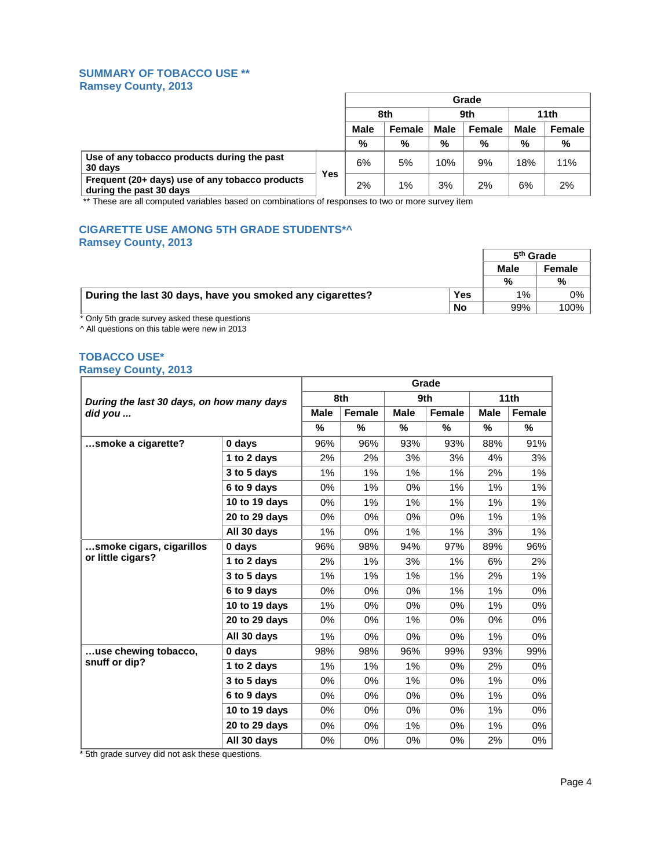## **SUMMARY OF TOBACCO USE \*\* Ramsey County, 2013**

|                                                                            |                   | Grade       |               |             |               |             |        |  |
|----------------------------------------------------------------------------|-------------------|-------------|---------------|-------------|---------------|-------------|--------|--|
|                                                                            | 8th               |             | 9th           |             | 11th          |             |        |  |
|                                                                            |                   | <b>Male</b> | <b>Female</b> | <b>Male</b> | <b>Female</b> | <b>Male</b> | Female |  |
|                                                                            |                   | %           | %             | %           | %             | %           | %      |  |
| Use of any tobacco products during the past<br>30 days                     |                   | 6%          | 5%            | 10%         | 9%            | 18%         | 11%    |  |
| Frequent (20+ days) use of any tobacco products<br>during the past 30 days | $Y_{\mathsf{e}S}$ | 2%          | $1\%$         | 3%          | 2%            | 6%          | 2%     |  |

\*\* These are all computed variables based on combinations of responses to two or more survey item

## **CIGARETTE USE AMONG 5TH GRADE STUDENTS\*^ Ramsey County, 2013**

|                                                          |            | 5 <sup>th</sup> Grade |         |
|----------------------------------------------------------|------------|-----------------------|---------|
|                                                          |            | <b>Male</b>           | Female  |
|                                                          |            | %                     | %       |
| During the last 30 days, have you smoked any cigarettes? | <b>Yes</b> | 1%                    | 0%      |
|                                                          | <b>No</b>  | 99%                   | $100\%$ |

\* Only 5th grade survey asked these questions

^ All questions on this table were new in 2013

## **TOBACCO USE\* Ramsey County, 2013**

|                                           |               | Grade       |        |             |        |             |        |
|-------------------------------------------|---------------|-------------|--------|-------------|--------|-------------|--------|
| During the last 30 days, on how many days |               |             | 8th    |             | 9th    |             | 11th   |
| did you                                   |               | <b>Male</b> | Female | <b>Male</b> | Female | <b>Male</b> | Female |
|                                           |               | $\%$        | %      | %           | $\%$   | $\%$        | %      |
| smoke a cigarette?                        | 0 days        | 96%         | 96%    | 93%         | 93%    | 88%         | 91%    |
|                                           | 1 to 2 days   | $2\%$       | 2%     | 3%          | 3%     | 4%          | 3%     |
|                                           | 3 to 5 days   | 1%          | 1%     | 1%          | 1%     | 2%          | 1%     |
|                                           | 6 to 9 days   | 0%          | 1%     | 0%          | 1%     | 1%          | 1%     |
|                                           | 10 to 19 days | $0\%$       | 1%     | 1%          | 1%     | 1%          | 1%     |
|                                           | 20 to 29 days | $0\%$       | $0\%$  | 0%          | 0%     | 1%          | 1%     |
|                                           | All 30 days   | 1%          | $0\%$  | 1%          | 1%     | 3%          | 1%     |
| smoke cigars, cigarillos                  | 0 days        | 96%         | 98%    | 94%         | 97%    | 89%         | 96%    |
| or little cigars?                         | 1 to 2 days   | 2%          | 1%     | 3%          | 1%     | 6%          | 2%     |
|                                           | 3 to 5 days   | 1%          | 1%     | 1%          | 1%     | 2%          | 1%     |
|                                           | 6 to 9 days   | 0%          | 0%     | 0%          | 1%     | 1%          | 0%     |
|                                           | 10 to 19 days | $1\%$       | 0%     | 0%          | 0%     | 1%          | 0%     |
|                                           | 20 to 29 days | 0%          | $0\%$  | $1\%$       | 0%     | 0%          | $0\%$  |
|                                           | All 30 days   | 1%          | $0\%$  | $0\%$       | $0\%$  | 1%          | $0\%$  |
| use chewing tobacco,                      | 0 days        | 98%         | 98%    | 96%         | 99%    | 93%         | 99%    |
| snuff or dip?                             | 1 to 2 days   | 1%          | 1%     | 1%          | $0\%$  | 2%          | 0%     |
|                                           | 3 to 5 days   | $0\%$       | $0\%$  | 1%          | $0\%$  | 1%          | $0\%$  |
|                                           | 6 to 9 days   | 0%          | 0%     | $0\%$       | $0\%$  | 1%          | $0\%$  |
|                                           | 10 to 19 days | $0\%$       | 0%     | $0\%$       | $0\%$  | 1%          | $0\%$  |
|                                           | 20 to 29 days | 0%          | $0\%$  | 1%          | 0%     | 1%          | 0%     |
|                                           | All 30 days   | 0%          | 0%     | 0%          | 0%     | 2%          | 0%     |

\* 5th grade survey did not ask these questions.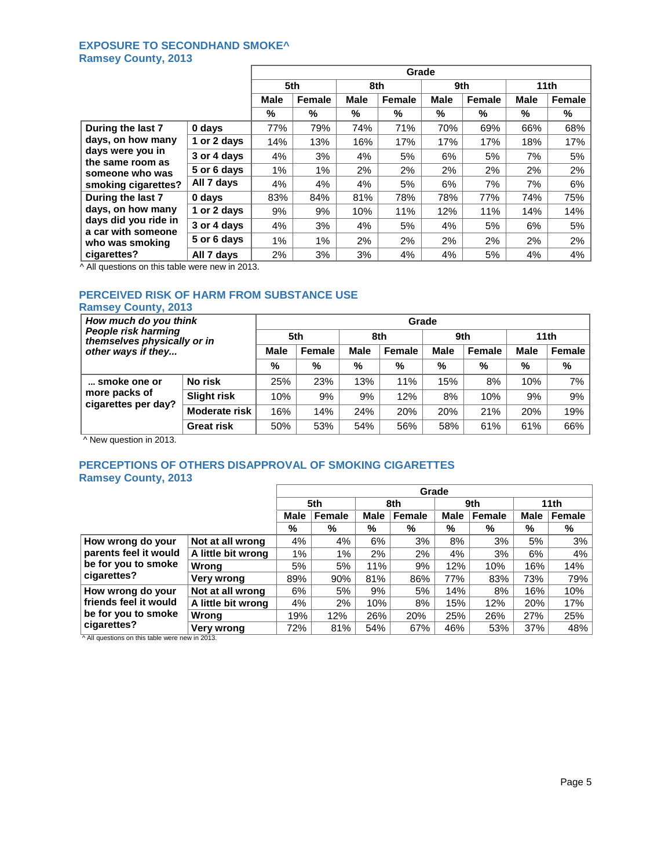#### **EXPOSURE TO SECONDHAND SMOKE^ Ramsey County, 2013** ř.

|                                                                                                   |             |      | Grade  |             |               |             |        |                  |        |  |  |
|---------------------------------------------------------------------------------------------------|-------------|------|--------|-------------|---------------|-------------|--------|------------------|--------|--|--|
|                                                                                                   |             | 5th  |        | 8th         |               | 9th         |        | 11 <sub>th</sub> |        |  |  |
|                                                                                                   |             | Male | Female | <b>Male</b> | <b>Female</b> | <b>Male</b> | Female | <b>Male</b>      | Female |  |  |
|                                                                                                   |             | %    | %      | %           | %             | %           | %      | %                | %      |  |  |
| During the last 7<br>days, on how many<br>days were you in<br>the same room as<br>someone who was | 0 days      | 77%  | 79%    | 74%         | 71%           | 70%         | 69%    | 66%              | 68%    |  |  |
|                                                                                                   | 1 or 2 days | 14%  | 13%    | 16%         | 17%           | 17%         | 17%    | 18%              | 17%    |  |  |
|                                                                                                   | 3 or 4 days | 4%   | 3%     | 4%          | 5%            | 6%          | 5%     | 7%               | 5%     |  |  |
|                                                                                                   | 5 or 6 days | 1%   | 1%     | 2%          | 2%            | 2%          | 2%     | 2%               | 2%     |  |  |
| smoking cigarettes?                                                                               | All 7 days  | 4%   | 4%     | 4%          | 5%            | 6%          | 7%     | 7%               | 6%     |  |  |
| During the last 7                                                                                 | 0 days      | 83%  | 84%    | 81%         | 78%           | 78%         | 77%    | 74%              | 75%    |  |  |
| days, on how many<br>days did you ride in<br>a car with someone<br>who was smoking                | 1 or 2 days | 9%   | 9%     | 10%         | 11%           | 12%         | 11%    | 14%              | 14%    |  |  |
|                                                                                                   | 3 or 4 days | 4%   | 3%     | 4%          | 5%            | 4%          | 5%     | 6%               | 5%     |  |  |
|                                                                                                   | 5 or 6 days | 1%   | 1%     | 2%          | 2%            | 2%          | 2%     | 2%               | 2%     |  |  |
| cigarettes?                                                                                       | All 7 days  | 2%   | 3%     | 3%          | 4%            | 4%          | 5%     | 4%               | 4%     |  |  |

^ All questions on this table were new in 2013.

## **PERCEIVED RISK OF HARM FROM SUBSTANCE USE**

## **Ramsey County, 2013**

| How much do you think<br>People risk harming<br>themselves physically or in<br>other ways if they |                    | Grade       |        |             |        |             |        |                  |        |  |  |
|---------------------------------------------------------------------------------------------------|--------------------|-------------|--------|-------------|--------|-------------|--------|------------------|--------|--|--|
|                                                                                                   |                    | 5th         |        | 8th         |        | 9th         |        | 11 <sub>th</sub> |        |  |  |
|                                                                                                   |                    | <b>Male</b> | Female | <b>Male</b> | Female | <b>Male</b> | Female | <b>Male</b>      | Female |  |  |
|                                                                                                   |                    | %           | $\%$   | %           | %      | %           | %      | %                | %      |  |  |
| smoke one or                                                                                      | No risk            | 25%         | 23%    | 13%         | 11%    | 15%         | 8%     | 10%              | 7%     |  |  |
| more packs of<br>cigarettes per day?                                                              | <b>Slight risk</b> | 10%         | 9%     | 9%          | 12%    | 8%          | 10%    | 9%               | 9%     |  |  |
|                                                                                                   | Moderate risk      | 16%         | 14%    | 24%         | 20%    | 20%         | 21%    | 20%              | 19%    |  |  |
|                                                                                                   | <b>Great risk</b>  | 50%         | 53%    | 54%         | 56%    | 58%         | 61%    | 61%              | 66%    |  |  |

^ New question in 2013.

## **PERCEPTIONS OF OTHERS DISAPPROVAL OF SMOKING CIGARETTES Ramsey County, 2013**

|                                                                   |                    | Grade                 |       |             |        |      |               |      |        |
|-------------------------------------------------------------------|--------------------|-----------------------|-------|-------------|--------|------|---------------|------|--------|
|                                                                   |                    | 5th                   |       |             | 8th    |      | 9th           | 11th |        |
|                                                                   |                    | Female<br><b>Male</b> |       | <b>Male</b> | Female | Male | <b>Female</b> | Male | Female |
|                                                                   |                    | %                     | %     | %           | %      | %    | %             | %    | %      |
| How wrong do your<br>parents feel it would<br>be for you to smoke | Not at all wrong   | 4%                    | 4%    | 6%          | 3%     | 8%   | 3%            | 5%   | 3%     |
|                                                                   | A little bit wrong | 1%                    | 1%    | 2%          | 2%     | 4%   | 3%            | 6%   | 4%     |
|                                                                   | Wrong              | 5%                    | 5%    | 11%         | 9%     | 12%  | 10%           | 16%  | 14%    |
| cigarettes?                                                       | Very wrong         | 89%                   | 90%   | 81%         | 86%    | 77%  | 83%           | 73%  | 79%    |
| How wrong do your<br>friends feel it would<br>be for you to smoke | Not at all wrong   | 6%                    | 5%    | 9%          | 5%     | 14%  | 8%            | 16%  | 10%    |
|                                                                   | A little bit wrong | 4%                    | $2\%$ | 10%         | 8%     | 15%  | 12%           | 20%  | 17%    |
|                                                                   | Wrong              | 19%                   | 12%   | 26%         | 20%    | 25%  | 26%           | 27%  | 25%    |
| cigarettes?                                                       | Very wrong         | 72%                   | 81%   | 54%         | 67%    | 46%  | 53%           | 37%  | 48%    |

^ All questions on this table were new in 2013.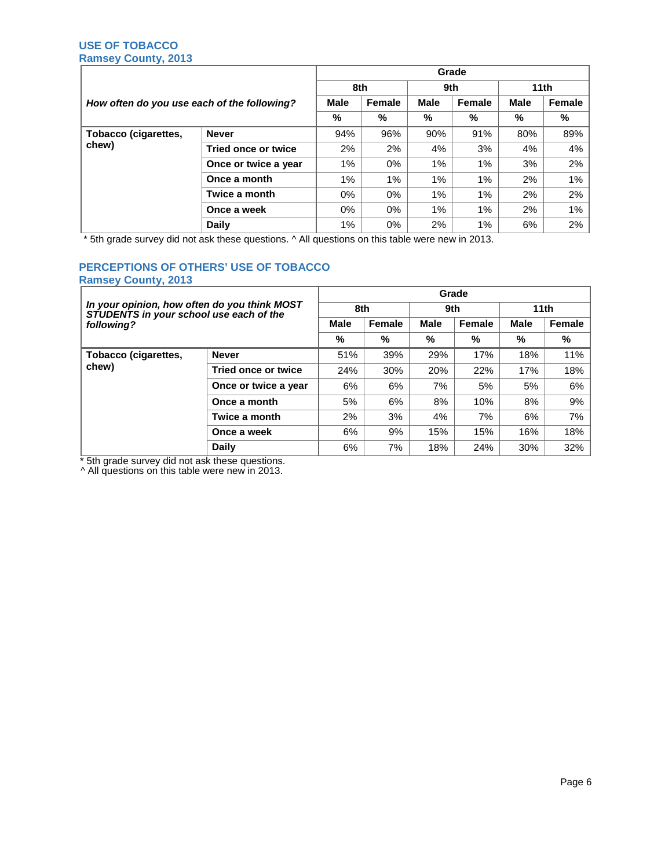## **USE OF TOBACCO Ramsey County, 2013**

|                                             |                      | Grade       |        |             |        |                  |        |
|---------------------------------------------|----------------------|-------------|--------|-------------|--------|------------------|--------|
|                                             |                      | 8th         |        | 9th         |        | 11 <sub>th</sub> |        |
| How often do you use each of the following? |                      | <b>Male</b> | Female | <b>Male</b> | Female | <b>Male</b>      | Female |
|                                             |                      | %           | %      | %           | %      | %                | %      |
| Tobacco (cigarettes,<br>chew)               | <b>Never</b>         | 94%         | 96%    | 90%         | 91%    | 80%              | 89%    |
|                                             | Tried once or twice  | 2%          | 2%     | 4%          | 3%     | 4%               | 4%     |
|                                             | Once or twice a year | $1\%$       | 0%     | 1%          | $1\%$  | 3%               | 2%     |
|                                             | Once a month         | 1%          | 1%     | 1%          | 1%     | 2%               | 1%     |
|                                             | Twice a month        | 0%          | $0\%$  | 1%          | $1\%$  | 2%               | 2%     |
|                                             | Once a week          | 0%          | 0%     | 1%          | 1%     | 2%               | 1%     |
|                                             | <b>Daily</b>         | 1%          | $0\%$  | 2%          | $1\%$  | 6%               | 2%     |

\* 5th grade survey did not ask these questions. ^ All questions on this table were new in 2013.

## **PERCEPTIONS OF OTHERS' USE OF TOBACCO Ramsey County, 2013**

| In your opinion, how often do you think MOST |                      | Grade       |        |             |        |                  |        |  |  |  |
|----------------------------------------------|----------------------|-------------|--------|-------------|--------|------------------|--------|--|--|--|
| STUDENTS in your school use each of the      |                      | 8th         |        | 9th         |        | 11 <sub>th</sub> |        |  |  |  |
| following?                                   |                      | <b>Male</b> | Female | <b>Male</b> | Female | <b>Male</b>      | Female |  |  |  |
|                                              |                      | %           | %      | %           | %      | %                | %      |  |  |  |
| Tobacco (cigarettes,<br>chew)                | <b>Never</b>         | 51%         | 39%    | 29%         | 17%    | 18%              | 11%    |  |  |  |
|                                              | Tried once or twice  | 24%         | 30%    | 20%         | 22%    | 17%              | 18%    |  |  |  |
|                                              | Once or twice a year | 6%          | 6%     | 7%          | 5%     | 5%               | 6%     |  |  |  |
|                                              | Once a month         | 5%          | 6%     | 8%          | 10%    | 8%               | 9%     |  |  |  |
|                                              | Twice a month        | 2%          | 3%     | 4%          | 7%     | 6%               | 7%     |  |  |  |
|                                              | Once a week          | 6%          | 9%     | 15%         | 15%    | 16%              | 18%    |  |  |  |
|                                              | <b>Daily</b>         | 6%          | 7%     | 18%         | 24%    | 30%              | 32%    |  |  |  |

\* 5th grade survey did not ask these questions.

^ All questions on this table were new in 2013.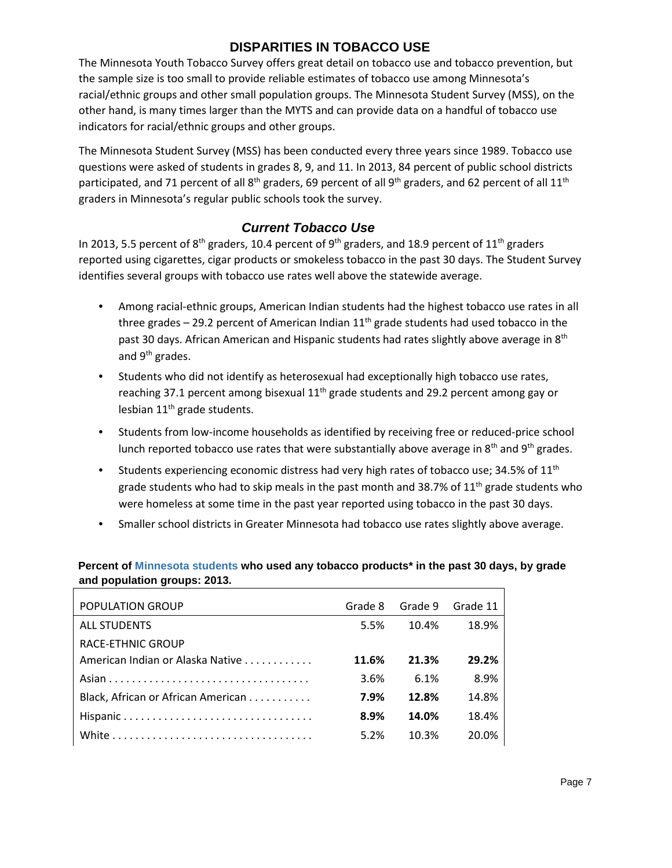## **DISPARITIES IN TOBACCO USE**

The Minnesota Youth Tobacco Survey offers great detail on tobacco use and tobacco prevention, but the sample size is too small to provide reliable estimates of tobacco use among Minnesota's racial/ethnic groups and other small population groups. The Minnesota Student Survey (MSS), on the other hand, is many times larger than the MYTS and can provide data on a handful of tobacco use indicators for racial/ethnic groups and other groups.

The Minnesota Student Survey (MSS) has been conducted every three years since 1989. Tobacco use questions were asked of students in grades 8, 9, and 11. In 2013, 84 percent of public school districts participated, and 71 percent of all 8<sup>th</sup> graders, 69 percent of all 9<sup>th</sup> graders, and 62 percent of all 11<sup>th</sup> graders in Minnesota's regular public schools took the survey.

## *Current Tobacco Use*

In 2013, 5.5 percent of 8<sup>th</sup> graders, 10.4 percent of 9<sup>th</sup> graders, and 18.9 percent of 11<sup>th</sup> graders reported using cigarettes, cigar products or smokeless tobacco in the past 30 days. The Student Survey identifies several groups with tobacco use rates well above the statewide average.

- Among racial-ethnic groups, American Indian students had the highest tobacco use rates in all three grades  $-$  29.2 percent of American Indian  $11<sup>th</sup>$  grade students had used tobacco in the past 30 days. African American and Hispanic students had rates slightly above average in 8<sup>th</sup> and 9<sup>th</sup> grades.
- Students who did not identify as heterosexual had exceptionally high tobacco use rates, reaching 37.1 percent among bisexual  $11<sup>th</sup>$  grade students and 29.2 percent among gay or lesbian 11<sup>th</sup> grade students.
- Students from low-income households as identified by receiving free or reduced-price school lunch reported tobacco use rates that were substantially above average in  $8<sup>th</sup>$  and  $9<sup>th</sup>$  grades.
- Students experiencing economic distress had very high rates of tobacco use; 34.5% of  $11<sup>th</sup>$ grade students who had to skip meals in the past month and 38.7% of 11<sup>th</sup> grade students who were homeless at some time in the past year reported using tobacco in the past 30 days.
- Smaller school districts in Greater Minnesota had tobacco use rates slightly above average.

## **Percent of Minnesota students who used any tobacco products\* in the past 30 days, by grade and population groups: 2013.**

| POPULATION GROUP                   | Grade 8 | Grade 9 | Grade 11 |
|------------------------------------|---------|---------|----------|
| <b>ALL STUDENTS</b>                | 5.5%    | 10.4%   | 18.9%    |
| <b>RACE-ETHNIC GROUP</b>           |         |         |          |
| American Indian or Alaska Native   | 11.6%   | 21.3%   | 29.2%    |
|                                    | 3.6%    | 6.1%    | 8.9%     |
| Black, African or African American | 7.9%    | 12.8%   | 14.8%    |
|                                    | 8.9%    | 14.0%   | 18.4%    |
|                                    | 5.2%    | 10.3%   | 20.0%    |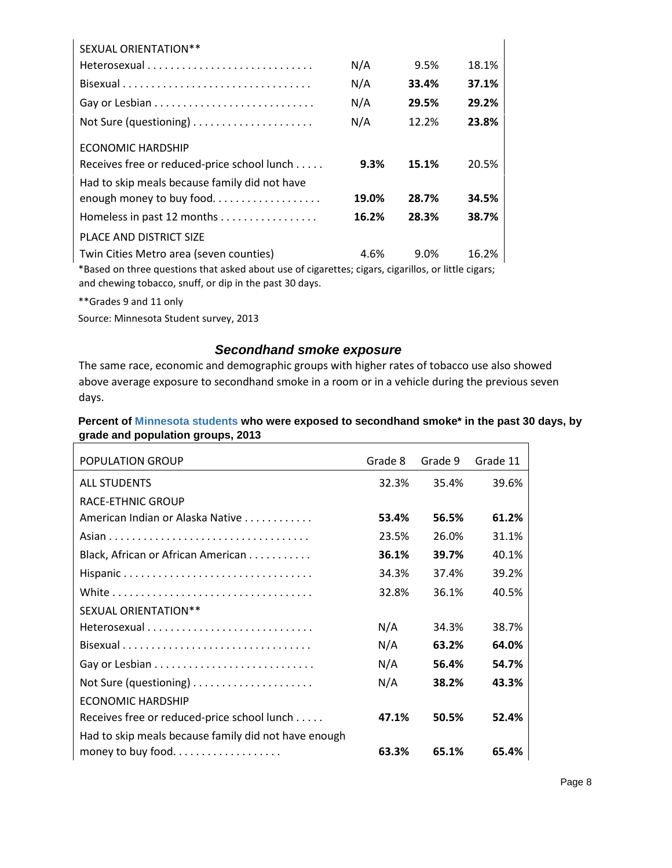| <b>SEXUAL ORIENTATION**</b>                                                                                     |       |       |       |
|-----------------------------------------------------------------------------------------------------------------|-------|-------|-------|
|                                                                                                                 | N/A   | 9.5%  | 18.1% |
|                                                                                                                 | N/A   | 33.4% | 37.1% |
|                                                                                                                 | N/A   | 29.5% | 29.2% |
|                                                                                                                 | N/A   | 12.2% | 23.8% |
| <b>ECONOMIC HARDSHIP</b>                                                                                        |       |       |       |
| Receives free or reduced-price school lunch                                                                     | 9.3%  | 15.1% | 20.5% |
| Had to skip meals because family did not have                                                                   |       |       |       |
| enough money to buy food                                                                                        | 19.0% | 28.7% | 34.5% |
| Homeless in past 12 months                                                                                      | 16.2% | 28.3% | 38.7% |
| PLACE AND DISTRICT SIZE                                                                                         |       |       |       |
| Twin Cities Metro area (seven counties)                                                                         | 4.6%  | 9.0%  | 16.2% |
| *neced as these corrections that will distribute the forecation of an analysis of the still and that a straight |       |       |       |

\*Based on three questions that asked about use of cigarettes; cigars, cigarillos, or little cigars; and chewing tobacco, snuff, or dip in the past 30 days.

\*\*Grades 9 and 11 only

Source: Minnesota Student survey, 2013

## *Secondhand smoke exposure*

The same race, economic and demographic groups with higher rates of tobacco use also showed above average exposure to secondhand smoke in a room or in a vehicle during the previous seven days.

## **Percent of Minnesota students who were exposed to secondhand smoke\* in the past 30 days, by grade and population groups, 2013**

| POPULATION GROUP                                     | Grade 8 | Grade 9 | Grade 11 |
|------------------------------------------------------|---------|---------|----------|
| <b>ALL STUDENTS</b>                                  | 32.3%   | 35.4%   | 39.6%    |
| <b>RACE-ETHNIC GROUP</b>                             |         |         |          |
| American Indian or Alaska Native                     | 53.4%   | 56.5%   | 61.2%    |
|                                                      | 23.5%   | 26.0%   | 31.1%    |
| Black, African or African American                   | 36.1%   | 39.7%   | 40.1%    |
|                                                      | 34.3%   | 37.4%   | 39.2%    |
|                                                      | 32.8%   | 36.1%   | 40.5%    |
| <b>SEXUAL ORIENTATION**</b>                          |         |         |          |
|                                                      | N/A     | 34.3%   | 38.7%    |
|                                                      | N/A     | 63.2%   | 64.0%    |
|                                                      | N/A     | 56.4%   | 54.7%    |
|                                                      | N/A     | 38.2%   | 43.3%    |
| <b>ECONOMIC HARDSHIP</b>                             |         |         |          |
| Receives free or reduced-price school lunch          | 47.1%   | 50.5%   | 52.4%    |
| Had to skip meals because family did not have enough |         |         |          |
|                                                      | 63.3%   | 65.1%   | 65.4%    |